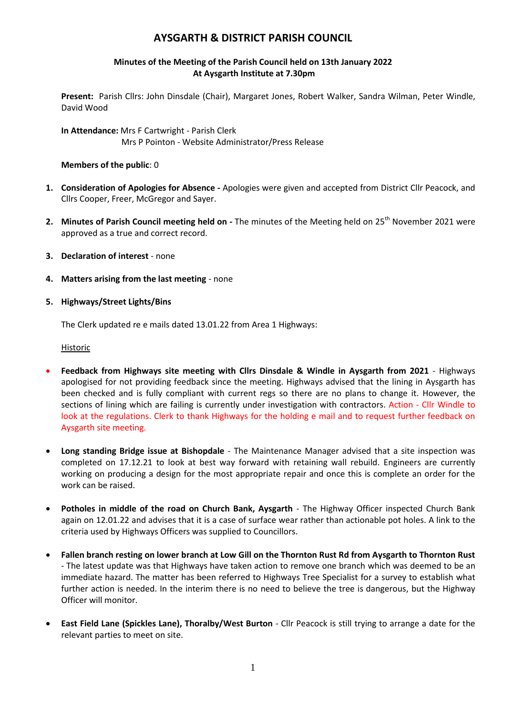# **AYSGARTH & DISTRICT PARISH COUNCIL**

### **Minutes of the Meeting of the Parish Council held on 13th January 2022 At Aysgarth Institute at 7.30pm**

**Present:** Parish Cllrs: John Dinsdale (Chair), Margaret Jones, Robert Walker, Sandra Wilman, Peter Windle, David Wood

**In Attendance:** Mrs F Cartwright - Parish Clerk Mrs P Pointon - Website Administrator/Press Release

#### **Members of the public**: 0

- **1. Consideration of Apologies for Absence -** Apologies were given and accepted from District Cllr Peacock, and Cllrs Cooper, Freer, McGregor and Sayer.
- **2.** Minutes of Parish Council meeting held on The minutes of the Meeting held on 25<sup>th</sup> November 2021 were approved as a true and correct record.
- **3. Declaration of interest** none
- **4. Matters arising from the last meeting** none
- **5. Highways/Street Lights/Bins**

The Clerk updated re e mails dated 13.01.22 from Area 1 Highways:

Historic

- **Feedback from Highways site meeting with Cllrs Dinsdale & Windle in Aysgarth from 2021** Highways apologised for not providing feedback since the meeting. Highways advised that the lining in Aysgarth has been checked and is fully compliant with current regs so there are no plans to change it. However, the sections of lining which are failing is currently under investigation with contractors. Action - Cllr Windle to look at the regulations. Clerk to thank Highways for the holding e mail and to request further feedback on Aysgarth site meeting.
- **Long standing Bridge issue at Bishopdale** The Maintenance Manager advised that a site inspection was completed on 17.12.21 to look at best way forward with retaining wall rebuild. Engineers are currently working on producing a design for the most appropriate repair and once this is complete an order for the work can be raised.
- **Potholes in middle of the road on Church Bank, Aysgarth** The Highway Officer inspected Church Bank again on 12.01.22 and advises that it is a case of surface wear rather than actionable pot holes. A link to the criteria used by Highways Officers was supplied to Councillors.
- **Fallen branch resting on lower branch at Low Gill on the Thornton Rust Rd from Aysgarth to Thornton Rust** - The latest update was that Highways have taken action to remove one branch which was deemed to be an immediate hazard. The matter has been referred to Highways Tree Specialist for a survey to establish what further action is needed. In the interim there is no need to believe the tree is dangerous, but the Highway Officer will monitor.
- **East Field Lane (Spickles Lane), Thoralby/West Burton** Cllr Peacock is still trying to arrange a date for the relevant parties to meet on site.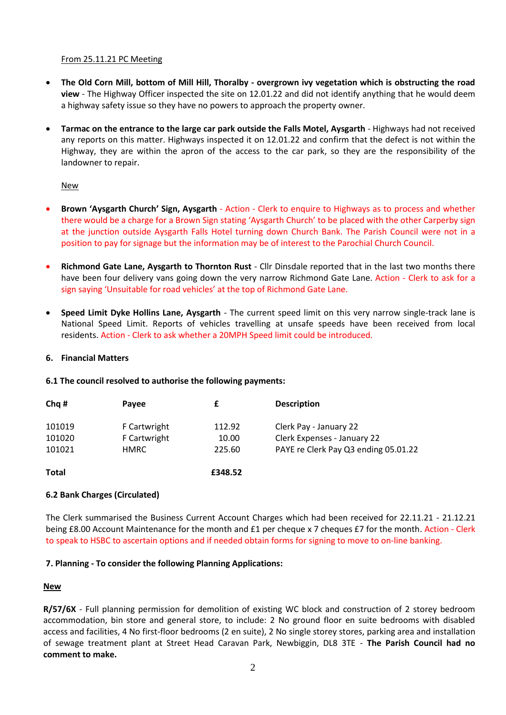#### From 25.11.21 PC Meeting

- **The Old Corn Mill, bottom of Mill Hill, Thoralby - overgrown ivy vegetation which is obstructing the road view** - The Highway Officer inspected the site on 12.01.22 and did not identify anything that he would deem a highway safety issue so they have no powers to approach the property owner.
- **Tarmac on the entrance to the large car park outside the Falls Motel, Aysgarth** Highways had not received any reports on this matter. Highways inspected it on 12.01.22 and confirm that the defect is not within the Highway, they are within the apron of the access to the car park, so they are the responsibility of the landowner to repair.

#### New

- **Brown 'Aysgarth Church' Sign, Aysgarth** Action Clerk to enquire to Highways as to process and whether there would be a charge for a Brown Sign stating 'Aysgarth Church' to be placed with the other Carperby sign at the junction outside Aysgarth Falls Hotel turning down Church Bank. The Parish Council were not in a position to pay for signage but the information may be of interest to the Parochial Church Council.
- **Richmond Gate Lane, Aysgarth to Thornton Rust** Cllr Dinsdale reported that in the last two months there have been four delivery vans going down the very narrow Richmond Gate Lane. Action - Clerk to ask for a sign saying 'Unsuitable for road vehicles' at the top of Richmond Gate Lane.
- **Speed Limit Dyke Hollins Lane, Aysgarth** The current speed limit on this very narrow single-track lane is National Speed Limit. Reports of vehicles travelling at unsafe speeds have been received from local residents. Action - Clerk to ask whether a 20MPH Speed limit could be introduced.

#### **6. Financial Matters**

#### **6.1 The council resolved to authorise the following payments:**

| Chq #        | Payee        |         | <b>Description</b>                   |
|--------------|--------------|---------|--------------------------------------|
| 101019       | F Cartwright | 112.92  | Clerk Pay - January 22               |
| 101020       | F Cartwright | 10.00   | Clerk Expenses - January 22          |
| 101021       | <b>HMRC</b>  | 225.60  | PAYE re Clerk Pay Q3 ending 05.01.22 |
| <b>Total</b> |              | £348.52 |                                      |

#### **6.2 Bank Charges (Circulated)**

The Clerk summarised the Business Current Account Charges which had been received for 22.11.21 - 21.12.21 being £8.00 Account Maintenance for the month and £1 per cheque x 7 cheques £7 for the month. Action - Clerk to speak to HSBC to ascertain options and if needed obtain forms for signing to move to on-line banking.

#### **7. Planning - To consider the following Planning Applications:**

#### **New**

**R/57/6X** - Full planning permission for demolition of existing WC block and construction of 2 storey bedroom accommodation, bin store and general store, to include: 2 No ground floor en suite bedrooms with disabled access and facilities, 4 No first-floor bedrooms (2 en suite), 2 No single storey stores, parking area and installation of sewage treatment plant at Street Head Caravan Park, Newbiggin, DL8 3TE - **The Parish Council had no comment to make.**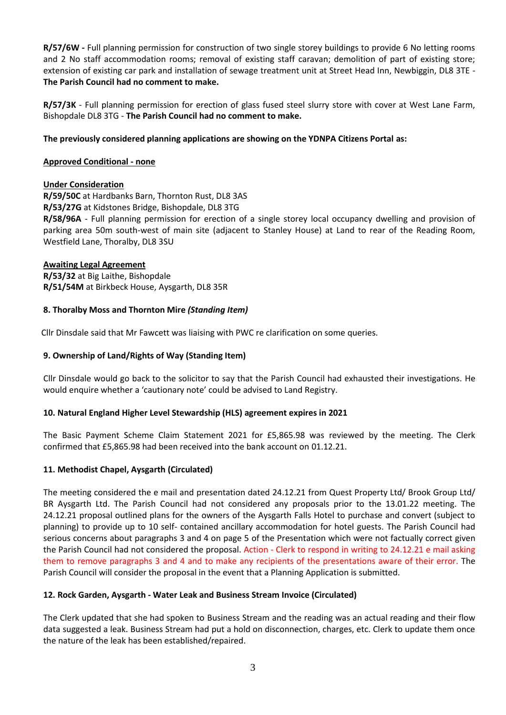**R/57/6W -** Full planning permission for construction of two single storey buildings to provide 6 No letting rooms and 2 No staff accommodation rooms; removal of existing staff caravan; demolition of part of existing store; extension of existing car park and installation of sewage treatment unit at Street Head Inn, Newbiggin, DL8 3TE - **The Parish Council had no comment to make.**

**R/57/3K** - Full planning permission for erection of glass fused steel slurry store with cover at West Lane Farm, Bishopdale DL8 3TG - **The Parish Council had no comment to make.**

### **The previously considered planning applications are showing on the YDNPA Citizens Portal as:**

### **Approved Conditional - none**

### **Under Consideration**

**R/59/50C** at Hardbanks Barn, Thornton Rust, DL8 3AS

**R/53/27G** at Kidstones Bridge, Bishopdale, DL8 3TG

**R/58/96A** - Full planning permission for erection of a single storey local occupancy dwelling and provision of parking area 50m south-west of main site (adjacent to Stanley House) at Land to rear of the Reading Room, Westfield Lane, Thoralby, DL8 3SU

### **Awaiting Legal Agreement**

**R/53/32** at Big Laithe, Bishopdale **R/51/54M** at Birkbeck House, Aysgarth, DL8 35R

### **8. Thoralby Moss and Thornton Mire** *(Standing Item)*

Cllr Dinsdale said that Mr Fawcett was liaising with PWC re clarification on some queries.

### **9. Ownership of Land/Rights of Way (Standing Item)**

Cllr Dinsdale would go back to the solicitor to say that the Parish Council had exhausted their investigations. He would enquire whether a 'cautionary note' could be advised to Land Registry.

#### **10. Natural England Higher Level Stewardship (HLS) agreement expires in 2021**

The Basic Payment Scheme Claim Statement 2021 for £5,865.98 was reviewed by the meeting. The Clerk confirmed that £5,865.98 had been received into the bank account on 01.12.21.

#### **11. Methodist Chapel, Aysgarth (Circulated)**

The meeting considered the e mail and presentation dated 24.12.21 from Quest Property Ltd/ Brook Group Ltd/ BR Aysgarth Ltd. The Parish Council had not considered any proposals prior to the 13.01.22 meeting. The 24.12.21 proposal outlined plans for the owners of the Aysgarth Falls Hotel to purchase and convert (subject to planning) to provide up to 10 self- contained ancillary accommodation for hotel guests. The Parish Council had serious concerns about paragraphs 3 and 4 on page 5 of the Presentation which were not factually correct given the Parish Council had not considered the proposal. Action - Clerk to respond in writing to 24.12.21 e mail asking them to remove paragraphs 3 and 4 and to make any recipients of the presentations aware of their error. The Parish Council will consider the proposal in the event that a Planning Application is submitted.

### **12. Rock Garden, Aysgarth - Water Leak and Business Stream Invoice (Circulated)**

The Clerk updated that she had spoken to Business Stream and the reading was an actual reading and their flow data suggested a leak. Business Stream had put a hold on disconnection, charges, etc. Clerk to update them once the nature of the leak has been established/repaired.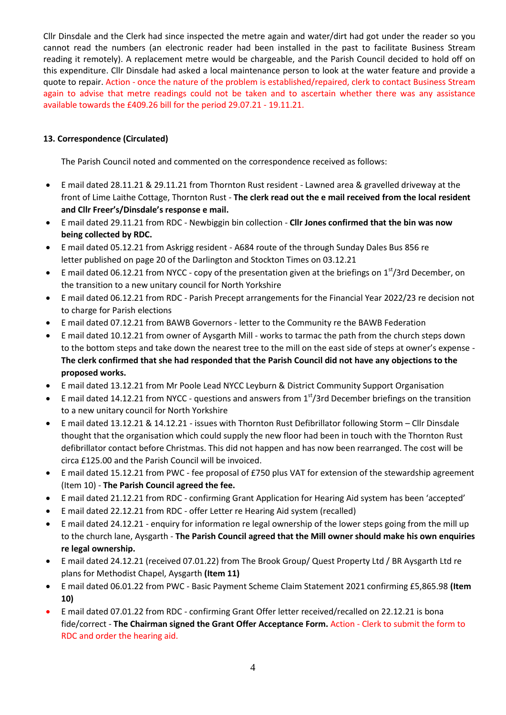Cllr Dinsdale and the Clerk had since inspected the metre again and water/dirt had got under the reader so you cannot read the numbers (an electronic reader had been installed in the past to facilitate Business Stream reading it remotely). A replacement metre would be chargeable, and the Parish Council decided to hold off on this expenditure. Cllr Dinsdale had asked a local maintenance person to look at the water feature and provide a quote to repair. Action - once the nature of the problem is established/repaired, clerk to contact Business Stream again to advise that metre readings could not be taken and to ascertain whether there was any assistance available towards the £409.26 bill for the period 29.07.21 - 19.11.21.

## **13. Correspondence (Circulated)**

The Parish Council noted and commented on the correspondence received as follows:

- E mail dated 28.11.21 & 29.11.21 from Thornton Rust resident Lawned area & gravelled driveway at the front of Lime Laithe Cottage, Thornton Rust - **The clerk read out the e mail received from the local resident and Cllr Freer's/Dinsdale's response e mail.**
- E mail dated 29.11.21 from RDC Newbiggin bin collection **Cllr Jones confirmed that the bin was now being collected by RDC.**
- E mail dated 05.12.21 from Askrigg resident A684 route of the through Sunday Dales Bus 856 re letter published on page 20 of the Darlington and Stockton Times on 03.12.21
- E mail dated 06.12.21 from NYCC copy of the presentation given at the briefings on  $1<sup>st</sup>/3$ rd December, on the transition to a new unitary council for North Yorkshire
- E mail dated 06.12.21 from RDC Parish Precept arrangements for the Financial Year 2022/23 re decision not to charge for Parish elections
- E mail dated 07.12.21 from BAWB Governors letter to the Community re the BAWB Federation
- E mail dated 10.12.21 from owner of Aysgarth Mill works to tarmac the path from the church steps down to the bottom steps and take down the nearest tree to the mill on the east side of steps at owner's expense - **The clerk confirmed that she had responded that the Parish Council did not have any objections to the proposed works.**
- E mail dated 13.12.21 from Mr Poole Lead NYCC Leyburn & District Community Support Organisation
- E mail dated 14.12.21 from NYCC questions and answers from  $1<sup>st</sup>/3$ rd December briefings on the transition to a new unitary council for North Yorkshire
- E mail dated 13.12.21 & 14.12.21 issues with Thornton Rust Defibrillator following Storm Cllr Dinsdale thought that the organisation which could supply the new floor had been in touch with the Thornton Rust defibrillator contact before Christmas. This did not happen and has now been rearranged. The cost will be circa £125.00 and the Parish Council will be invoiced.
- E mail dated 15.12.21 from PWC fee proposal of £750 plus VAT for extension of the stewardship agreement (Item 10) - **The Parish Council agreed the fee.**
- E mail dated 21.12.21 from RDC confirming Grant Application for Hearing Aid system has been 'accepted'
- E mail dated 22.12.21 from RDC offer Letter re Hearing Aid system (recalled)
- E mail dated 24.12.21 enquiry for information re legal ownership of the lower steps going from the mill up to the church lane, Aysgarth - **The Parish Council agreed that the Mill owner should make his own enquiries re legal ownership.**
- E mail dated 24.12.21 (received 07.01.22) from The Brook Group/ Quest Property Ltd / BR Aysgarth Ltd re plans for Methodist Chapel, Aysgarth **(Item 11)**
- E mail dated 06.01.22 from PWC Basic Payment Scheme Claim Statement 2021 confirming £5,865.98 **(Item 10)**
- E mail dated 07.01.22 from RDC confirming Grant Offer letter received/recalled on 22.12.21 is bona fide/correct - **The Chairman signed the Grant Offer Acceptance Form.** Action - Clerk to submit the form to RDC and order the hearing aid.